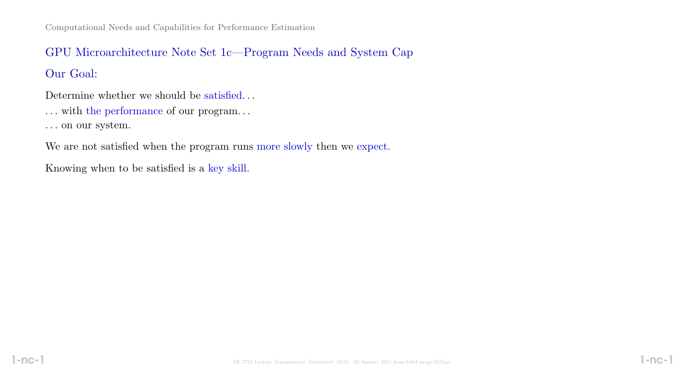# GPU Microarchitecture Note Set 1c—Program Needs and System Cap

Our Goal:

Determine whether we should be satisfied...

 $\dots$  with the performance of our program.  $\dots$ 

. . . on our system.

We are not satisfied when the program runs more slowly then we expect.

Knowing when to be satisfied is a key skill.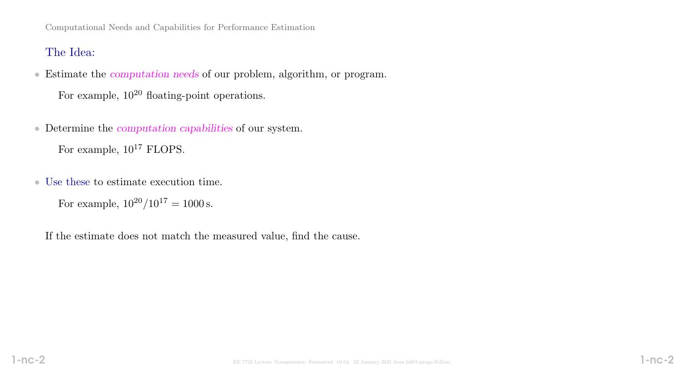Computational Needs and Capabilities for Performance Estimation

# The Idea:

• Estimate the computation needs of our problem, algorithm, or program.

For example,  $10^{20}$  floating-point operations.

- Determine the computation capabilities of our system. For example,  $10^{17}$  FLOPS.
- Use these to estimate execution time.

For example,  $10^{20}/10^{17} = 1000$  s.

If the estimate does not match the measured value, find the cause.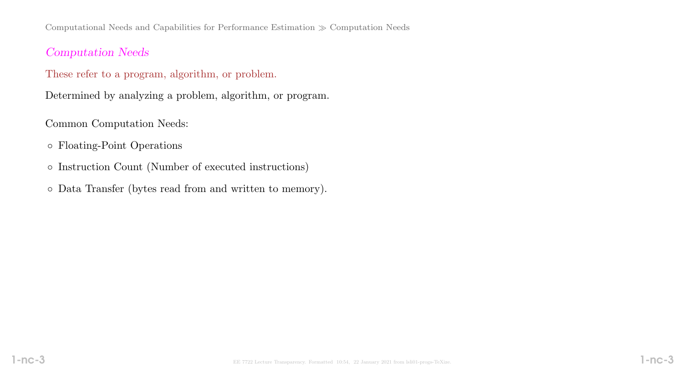Computational Needs and Capabilities for Performance Estimation  $\gg$  Computation Needs

# Computation Needs

These refer to a program, algorithm, or problem.

Determined by analyzing a problem, algorithm, or program.

Common Computation Needs:

- Floating-Point Operations
- Instruction Count (Number of executed instructions)
- Data Transfer (bytes read from and written to memory).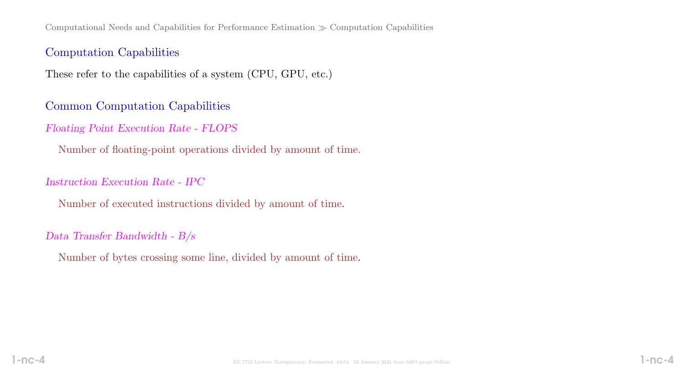Computational Needs and Capabilities for Performance Estimation  $\gg$  Computation Capabilities

## Computation Capabilities

These refer to the capabilities of a system (CPU, GPU, etc.)

## Common Computation Capabilities

Floating Point Execution Rate - FLOPS

Number of floating-point operations divided by amount of time.

#### Instruction Execution Rate - IPC

Number of executed instructions divided by amount of time.

#### Data Transfer Bandwidth - B/s

Number of bytes crossing some line, divided by amount of time.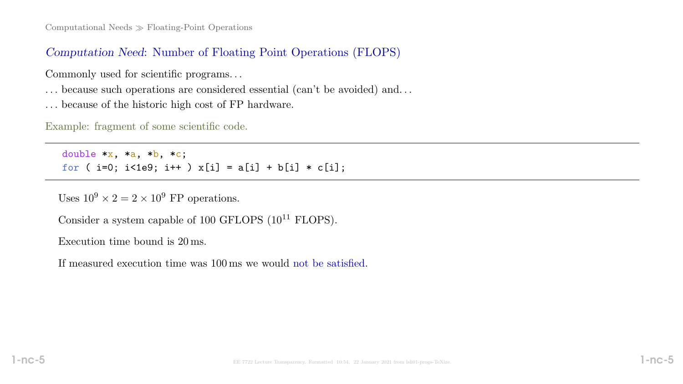# Computation Need: Number of Floating Point Operations (FLOPS)

Commonly used for scientific programs. . .

- . . . because such operations are considered essential (can't be avoided) and. . .
- . . . because of the historic high cost of FP hardware.

Example: fragment of some scientific code.

double  $*x$ ,  $*a$ ,  $*b$ ,  $*c$ ; for (  $i=0$ ;  $i<1e9$ ;  $i++$  )  $x[i] = a[i] + b[i] * c[i]$ ;

Uses  $10^9 \times 2 = 2 \times 10^9$  FP operations.

Consider a system capable of 100 GFLOPS  $(10^{11}$  FLOPS).

Execution time bound is 20 ms.

If measured execution time was 100 ms we would not be satisfied.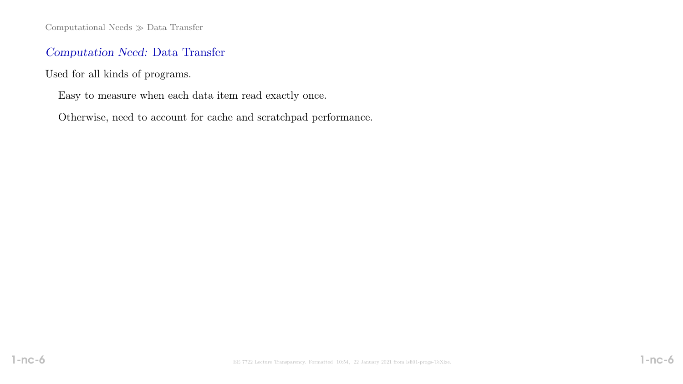Computational Needs  $\gg$  Data Transfer

# Computation Need: Data Transfer

Used for all kinds of programs.

Easy to measure when each data item read exactly once.

Otherwise, need to account for cache and scratchpad performance.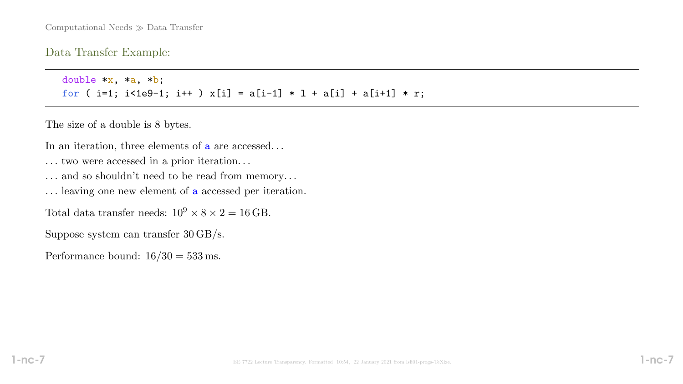Data Transfer Example:

double  $*x$ ,  $*a$ ,  $*b$ ; for (  $i=1$ ;  $i<1e9-1$ ;  $i++$  )  $x[i] = a[i-1] * 1 + a[i] + a[i+1] * r;$ 

The size of a double is 8 bytes.

In an iteration, three elements of **a** are accessed...

. . . two were accessed in a prior iteration. . .

- . . . and so shouldn't need to be read from memory. . .
- . . . leaving one new element of a accessed per iteration.

Total data transfer needs:  $10^9 \times 8 \times 2 = 16$  GB.

Suppose system can transfer 30 GB/s.

Performance bound:  $16/30 = 533$  ms.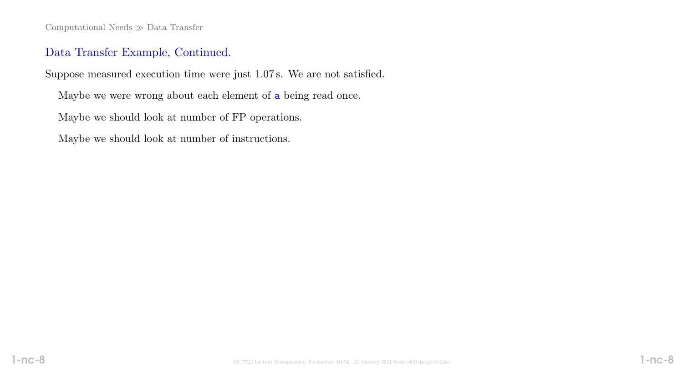Computational Needs  $\gg$  Data Transfer

# Data Transfer Example, Continued.

Suppose measured execution time were just 1.07 s. We are not satisfied.

Maybe we were wrong about each element of a being read once.

Maybe we should look at number of FP operations.

Maybe we should look at number of instructions.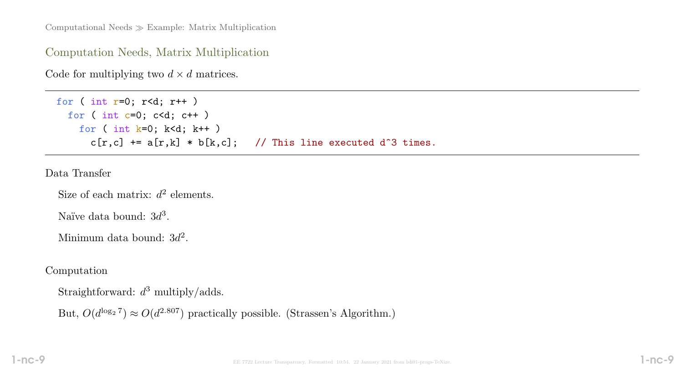Computational Needs  $\gg$  Example: Matrix Multiplication

Computation Needs, Matrix Multiplication

Code for multiplying two  $d \times d$  matrices.

```
for ( int r=0; r<d; r++ )
for ( int c=0; c<d; c++ )
  for ( int k=0; k< d; k++ )
    c[r,c] += a[r,k] * b[k,c]; // This line executed d^3 times.
```
Data Transfer

Size of each matrix:  $d^2$  elements.

Naïve data bound:  $3d^3$ .

Minimum data bound:  $3d^2$ .

Computation

Straightforward:  $d^3$  multiply/adds.

But,  $O(d^{\log_2 7}) \approx O(d^{2.807})$  practically possible. (Strassen's Algorithm.)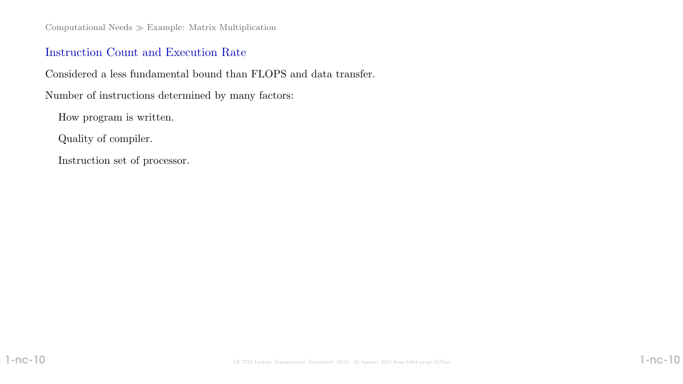Computational Needs  $\gg$  Example: Matrix Multiplication

# Instruction Count and Execution Rate

Considered a less fundamental bound than FLOPS and data transfer.

Number of instructions determined by many factors:

How program is written.

Quality of compiler.

Instruction set of processor.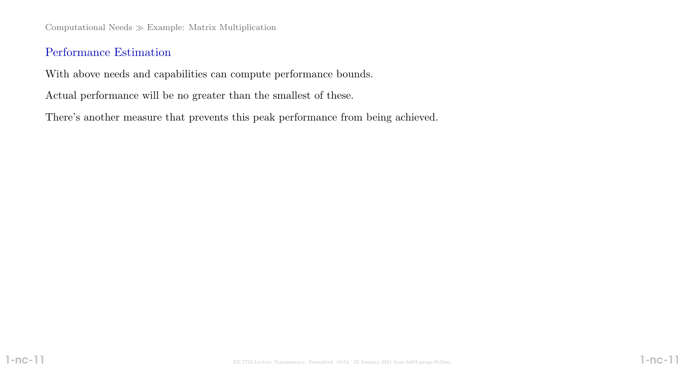Computational Needs  $\gg$  Example: Matrix Multiplication

# Performance Estimation

With above needs and capabilities can compute performance bounds.

Actual performance will be no greater than the smallest of these.

There's another measure that prevents this peak performance from being achieved.